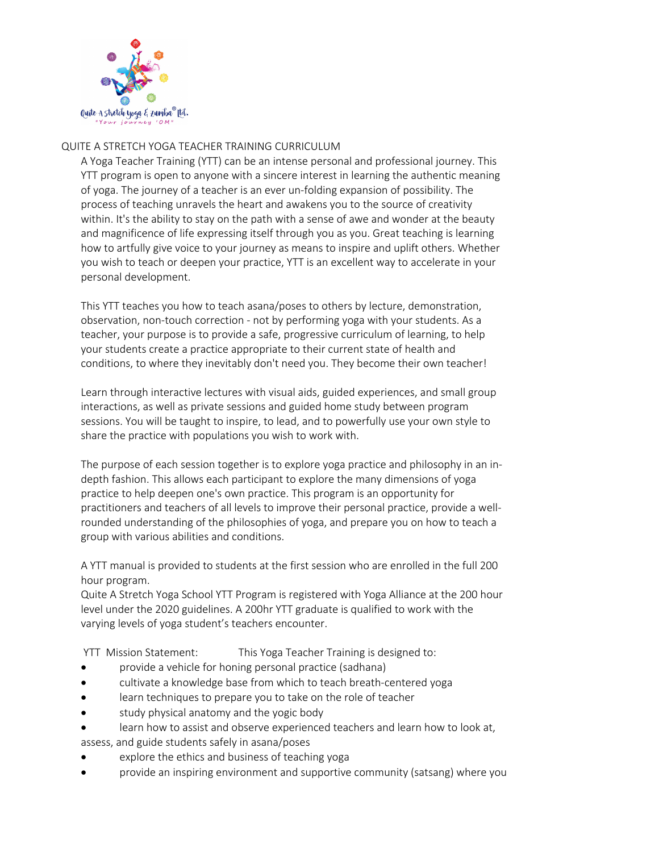

## QUITE A STRETCH YOGA TEACHER TRAINING CURRICULUM

A Yoga Teacher Training (YTT) can be an intense personal and professional journey. This YTT program is open to anyone with a sincere interest in learning the authentic meaning of yoga. The journey of a teacher is an ever un-folding expansion of possibility. The process of teaching unravels the heart and awakens you to the source of creativity within. It's the ability to stay on the path with a sense of awe and wonder at the beauty and magnificence of life expressing itself through you as you. Great teaching is learning how to artfully give voice to your journey as means to inspire and uplift others. Whether you wish to teach or deepen your practice, YTT is an excellent way to accelerate in your personal development.

This YTT teaches you how to teach asana/poses to others by lecture, demonstration, observation, non-touch correction - not by performing yoga with your students. As a teacher, your purpose is to provide a safe, progressive curriculum of learning, to help your students create a practice appropriate to their current state of health and conditions, to where they inevitably don't need you. They become their own teacher!

Learn through interactive lectures with visual aids, guided experiences, and small group interactions, as well as private sessions and guided home study between program sessions. You will be taught to inspire, to lead, and to powerfully use your own style to share the practice with populations you wish to work with.

The purpose of each session together is to explore yoga practice and philosophy in an indepth fashion. This allows each participant to explore the many dimensions of yoga practice to help deepen one's own practice. This program is an opportunity for practitioners and teachers of all levels to improve their personal practice, provide a wellrounded understanding of the philosophies of yoga, and prepare you on how to teach a group with various abilities and conditions.

A YTT manual is provided to students at the first session who are enrolled in the full 200 hour program.

Quite A Stretch Yoga School YTT Program is registered with Yoga Alliance at the 200 hour level under the 2020 guidelines. A 200hr YTT graduate is qualified to work with the varying levels of yoga student's teachers encounter.

YTT Mission Statement: This Yoga Teacher Training is designed to:

- provide a vehicle for honing personal practice (sadhana)
- cultivate a knowledge base from which to teach breath-centered yoga
- learn techniques to prepare you to take on the role of teacher
- study physical anatomy and the yogic body
- learn how to assist and observe experienced teachers and learn how to look at,

assess, and guide students safely in asana/poses

- explore the ethics and business of teaching yoga
- provide an inspiring environment and supportive community (satsang) where you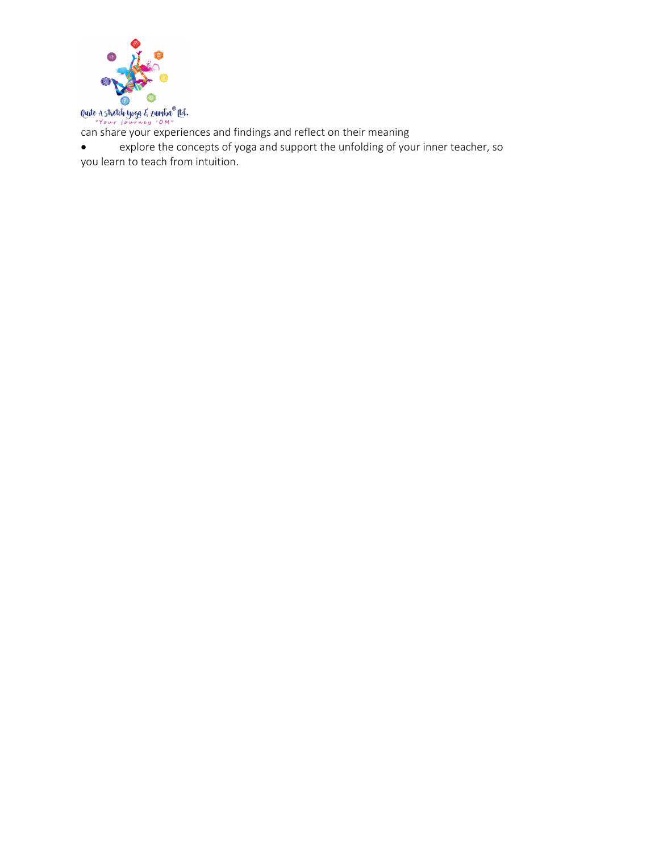

Quite A stattly yogg & zuriba® [td.<br>"Your fourney 'OM"<br>can share your experiences and findings and reflect on their meaning

• explore the concepts of yoga and support the unfolding of your inner teacher, so you learn to teach from intuition.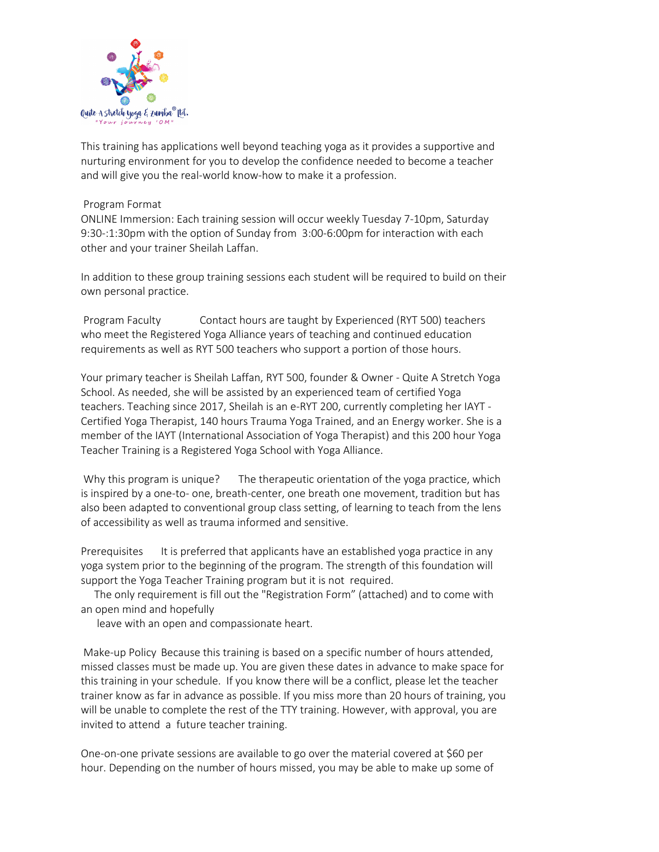

This training has applications well beyond teaching yoga as it provides a supportive and nurturing environment for you to develop the confidence needed to become a teacher and will give you the real-world know-how to make it a profession.

#### Program Format

ONLINE Immersion: Each training session will occur weekly Tuesday 7-10pm, Saturday 9:30-:1:30pm with the option of Sunday from 3:00-6:00pm for interaction with each other and your trainer Sheilah Laffan.

In addition to these group training sessions each student will be required to build on their own personal practice.

Program Faculty Contact hours are taught by Experienced (RYT 500) teachers who meet the Registered Yoga Alliance years of teaching and continued education requirements as well as RYT 500 teachers who support a portion of those hours.

Your primary teacher is Sheilah Laffan, RYT 500, founder & Owner - Quite A Stretch Yoga School. As needed, she will be assisted by an experienced team of certified Yoga teachers. Teaching since 2017, Sheilah is an e-RYT 200, currently completing her IAYT - Certified Yoga Therapist, 140 hours Trauma Yoga Trained, and an Energy worker. She is a member of the IAYT (International Association of Yoga Therapist) and this 200 hour Yoga Teacher Training is a Registered Yoga School with Yoga Alliance.

Why this program is unique? The therapeutic orientation of the yoga practice, which is inspired by a one-to- one, breath-center, one breath one movement, tradition but has also been adapted to conventional group class setting, of learning to teach from the lens of accessibility as well as trauma informed and sensitive.

Prerequisites It is preferred that applicants have an established yoga practice in any yoga system prior to the beginning of the program. The strength of this foundation will support the Yoga Teacher Training program but it is not required.

 The only requirement is fill out the "Registration Form" (attached) and to come with an open mind and hopefully

leave with an open and compassionate heart.

Make-up Policy Because this training is based on a specific number of hours attended, missed classes must be made up. You are given these dates in advance to make space for this training in your schedule. If you know there will be a conflict, please let the teacher trainer know as far in advance as possible. If you miss more than 20 hours of training, you will be unable to complete the rest of the TTY training. However, with approval, you are invited to attend a future teacher training.

One-on-one private sessions are available to go over the material covered at \$60 per hour. Depending on the number of hours missed, you may be able to make up some of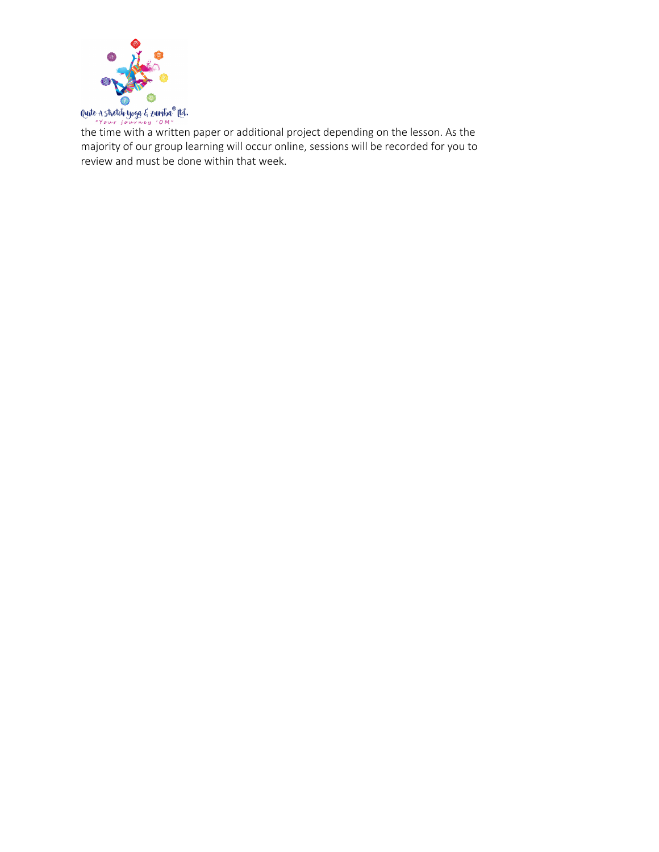

the time with a written paper or additional project depending on the lesson. As the majority of our group learning will occur online, sessions will be recorded for you to review and must be done within that week.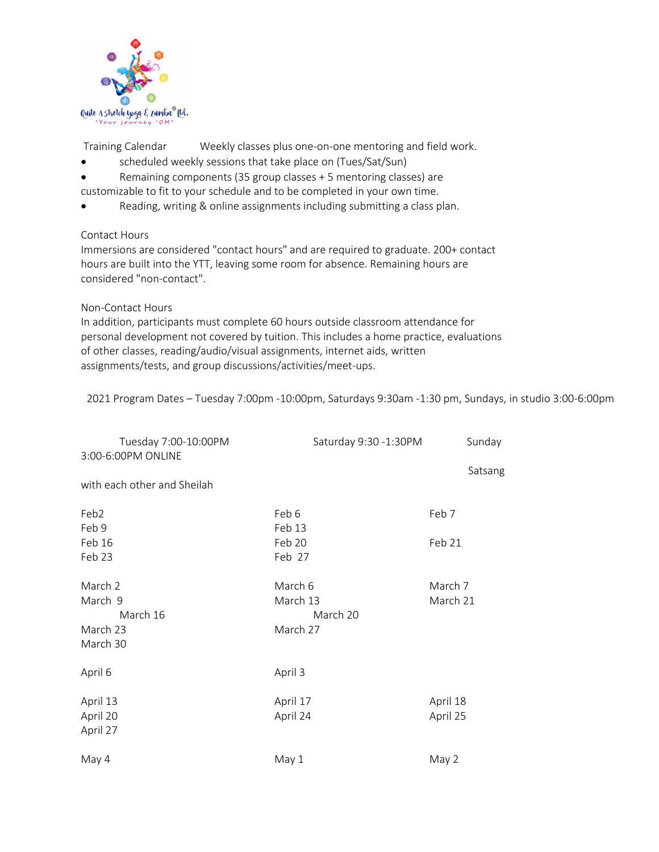

Training Calendar Weekly classes plus one-on-one mentoring and field work.

- scheduled weekly sessions that take place on (Tues/Sat/Sun)
- Remaining components (35 group classes + 5 mentoring classes) are
- customizable to fit to your schedule and to be completed in your own time.
- Reading, writing & online assignments including submitting a class plan.

### Contact Hours

Immersions are considered "contact hours" and are required to graduate. 200+ contact hours are built into the YTT, leaving some room for absence. Remaining hours are considered "non-contact".

### Non-Contact Hours

In addition, participants must complete 60 hours outside classroom attendance for personal development not covered by tuition. This includes a home practice, evaluations of other classes, reading/audio/visual assignments, internet aids, written assignments/tests, and group discussions/activities/meet-ups.

2021 Program Dates – Tuesday 7:00pm -10:00pm, Saturdays 9:30am -1:30 pm, Sundays, in studio 3:00-6:00pm

| Tuesday 7:00-10:00PM<br>3:00-6:00PM ONLINE | Saturday 9:30 - 1:30PM | Sunday   |
|--------------------------------------------|------------------------|----------|
|                                            |                        | Satsang  |
| with each other and Sheilah                |                        |          |
| Feb2                                       | Feb 6                  | Feb 7    |
| Feb 9                                      | Feb 13                 |          |
| Feb 16                                     | Feb 20                 | Feb 21   |
| Feb 23                                     | Feb 27                 |          |
| March 2                                    | March 6                | March 7  |
| March 9                                    | March 13               | March 21 |
| March 16                                   | March 20               |          |
| March 23                                   | March 27               |          |
| March 30                                   |                        |          |
| April 6                                    | April 3                |          |
| April 13                                   | April 17               | April 18 |
| April 20                                   | April 24               | April 25 |
| April 27                                   |                        |          |
| May 4                                      | May 1                  | May 2    |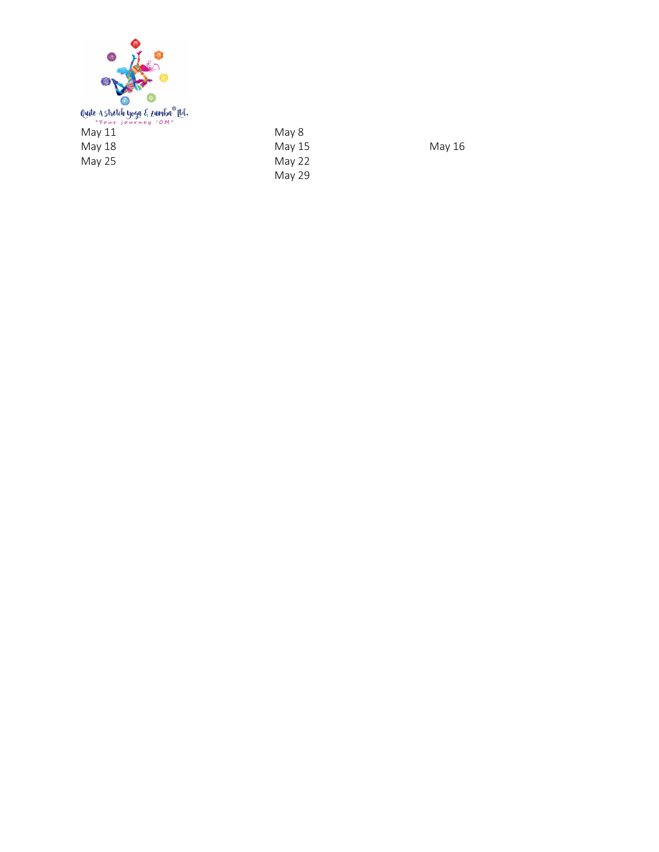

May 22 May 29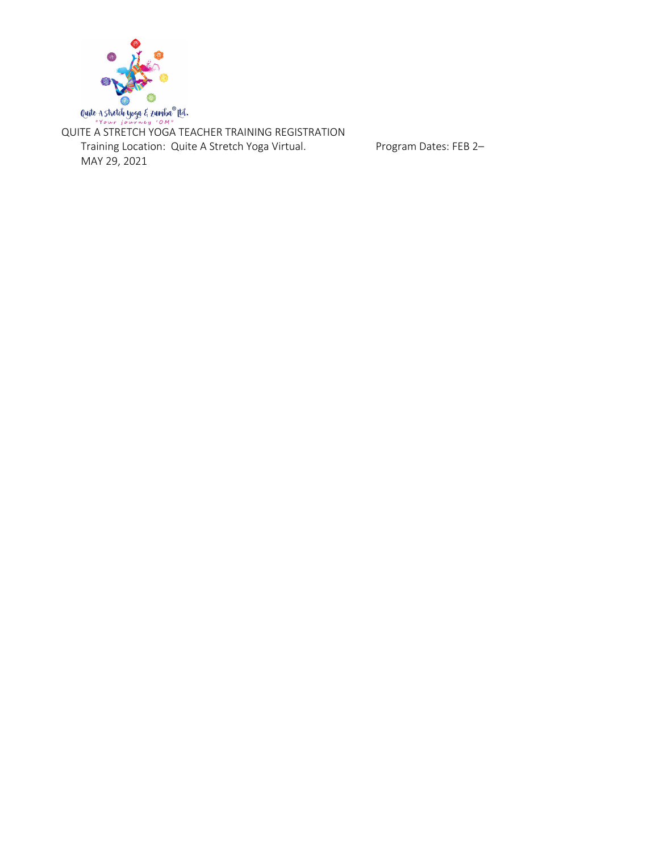

QUITE A STRETCH YOGA TEACHER TRAINING REGISTRATION Training Location: Quite A Stretch Yoga Virtual. Program Dates: FEB 2-MAY 29, 2021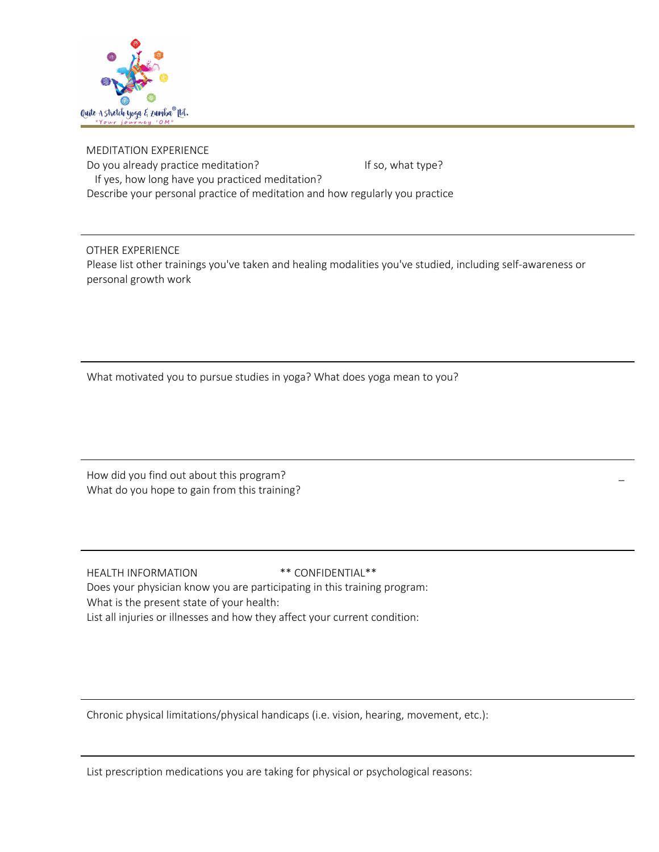

MEDITATION EXPERIENCE Do you already practice meditation? If so, what type? If yes, how long have you practiced meditation? Describe your personal practice of meditation and how regularly you practice

OTHER EXPERIENCE Please list other trainings you've taken and healing modalities you've studied, including self-awareness or personal growth work

What motivated you to pursue studies in yoga? What does yoga mean to you?

How did you find out about this program? \_ What do you hope to gain from this training?

HEALTH INFORMATION \*\* CONFIDENTIAL\*\* Does your physician know you are participating in this training program: What is the present state of your health: List all injuries or illnesses and how they affect your current condition:

Chronic physical limitations/physical handicaps (i.e. vision, hearing, movement, etc.):

List prescription medications you are taking for physical or psychological reasons: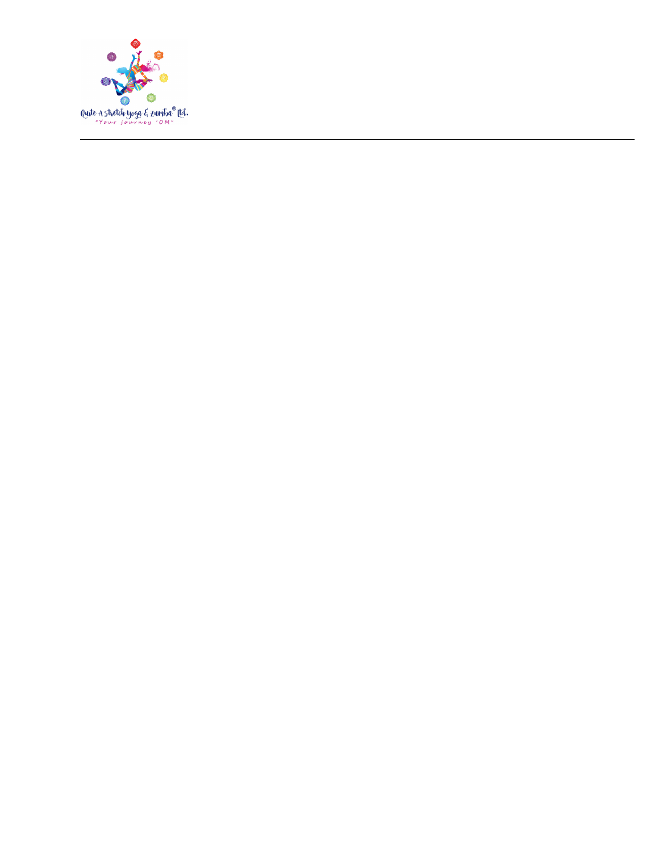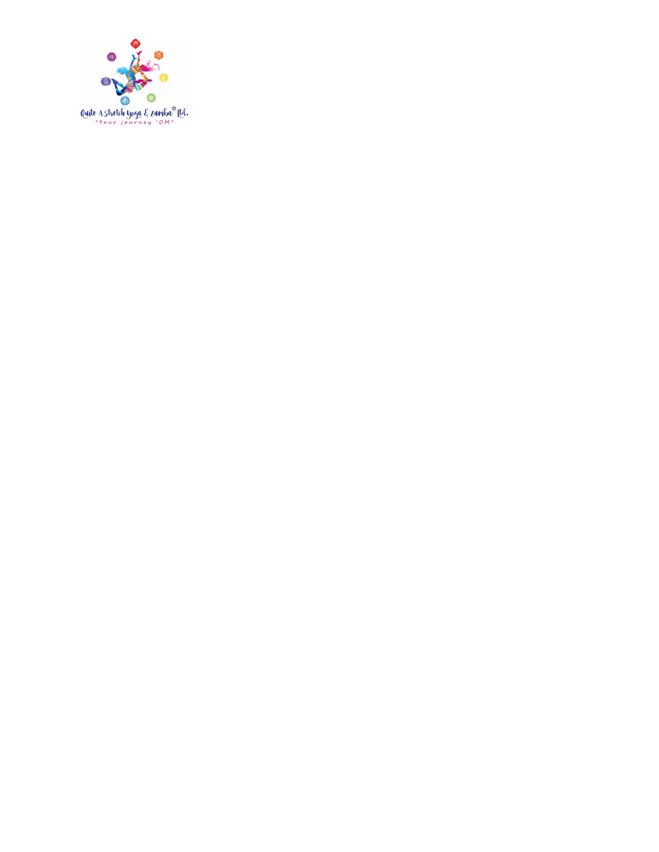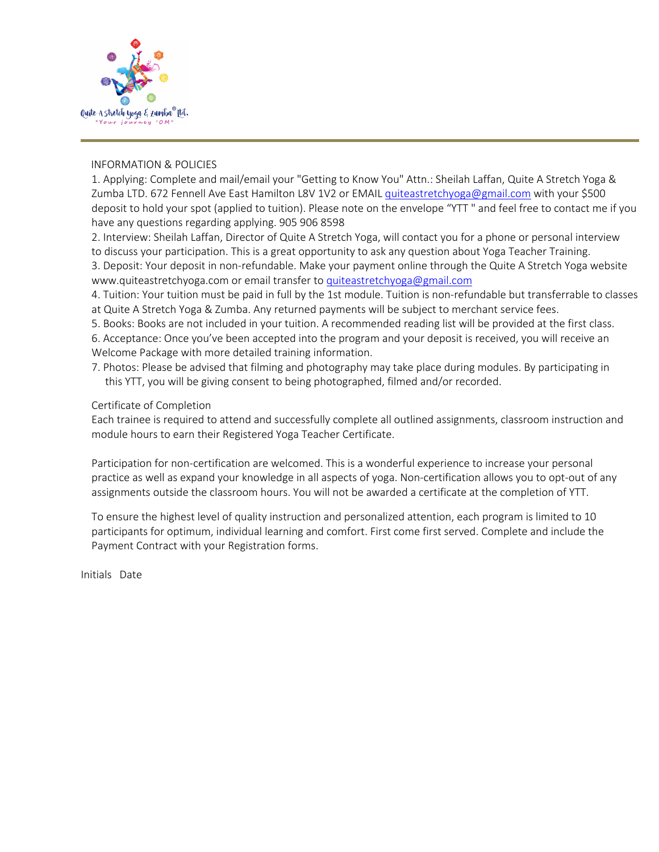

### INFORMATION & POLICIES

1. Applying: Complete and mail/email your "Getting to Know You" Attn.: Sheilah Laffan, Quite A Stretch Yoga & Zumba LTD. 672 Fennell Ave East Hamilton L8V 1V2 or EMAIL quiteastretchyoga@gmail.com with your \$500 deposit to hold your spot (applied to tuition). Please note on the envelope "YTT " and feel free to contact me if you have any questions regarding applying. 905 906 8598

2. Interview: Sheilah Laffan, Director of Quite A Stretch Yoga, will contact you for a phone or personal interview to discuss your participation. This is a great opportunity to ask any question about Yoga Teacher Training.

3. Deposit: Your deposit in non-refundable. Make your payment online through the Quite A Stretch Yoga website www.quiteastretchyoga.com or email transfer to quiteastretchyoga@gmail.com

4. Tuition: Your tuition must be paid in full by the 1st module. Tuition is non-refundable but transferrable to classes at Quite A Stretch Yoga & Zumba. Any returned payments will be subject to merchant service fees.

5. Books: Books are not included in your tuition. A recommended reading list will be provided at the first class.

6. Acceptance: Once you've been accepted into the program and your deposit is received, you will receive an Welcome Package with more detailed training information.

7. Photos: Please be advised that filming and photography may take place during modules. By participating in this YTT, you will be giving consent to being photographed, filmed and/or recorded.

### Certificate of Completion

Each trainee is required to attend and successfully complete all outlined assignments, classroom instruction and module hours to earn their Registered Yoga Teacher Certificate.

Participation for non-certification are welcomed. This is a wonderful experience to increase your personal practice as well as expand your knowledge in all aspects of yoga. Non-certification allows you to opt-out of any assignments outside the classroom hours. You will not be awarded a certificate at the completion of YTT.

To ensure the highest level of quality instruction and personalized attention, each program is limited to 10 participants for optimum, individual learning and comfort. First come first served. Complete and include the Payment Contract with your Registration forms.

Initials Date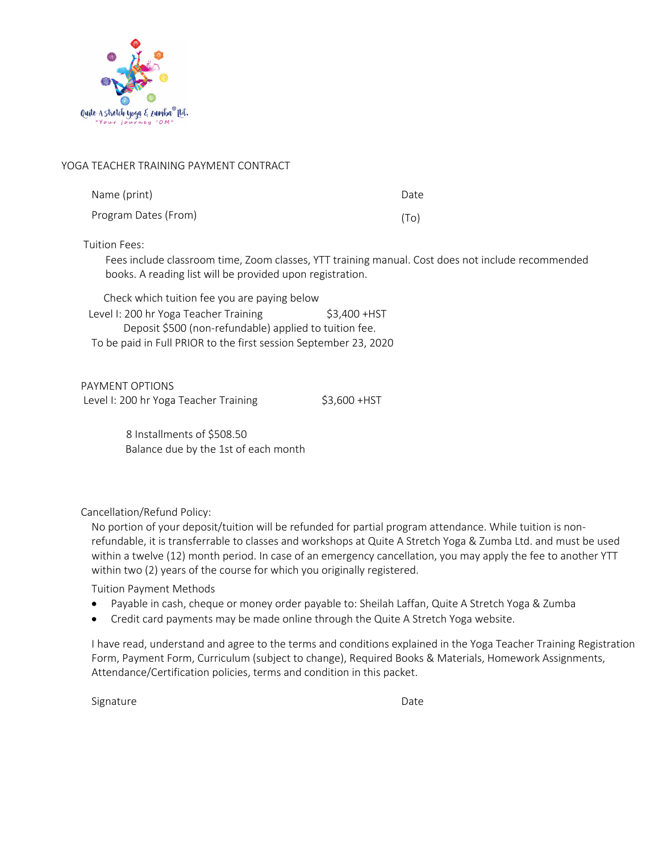

# YOGA TEACHER TRAINING PAYMENT CONTRACT

| Name (print)         | Date              |
|----------------------|-------------------|
| Program Dates (From) | (T <sub>O</sub> ) |

### Tuition Fees:

Fees include classroom time, Zoom classes, YTT training manual. Cost does not include recommended books. A reading list will be provided upon registration.

Check which tuition fee you are paying below

Level I: 200 hr Yoga Teacher Training  $$3,400 + HST$ Deposit \$500 (non-refundable) applied to tuition fee. To be paid in Full PRIOR to the first session September 23, 2020

PAYMENT OPTIONS Level I: 200 hr Yoga Teacher Training  $$3,600 + HST$ 

> 8 Installments of \$508.50 Balance due by the 1st of each month

Cancellation/Refund Policy:

No portion of your deposit/tuition will be refunded for partial program attendance. While tuition is nonrefundable, it is transferrable to classes and workshops at Quite A Stretch Yoga & Zumba Ltd. and must be used within a twelve (12) month period. In case of an emergency cancellation, you may apply the fee to another YTT within two (2) years of the course for which you originally registered.

Tuition Payment Methods

- Payable in cash, cheque or money order payable to: Sheilah Laffan, Quite A Stretch Yoga & Zumba
- Credit card payments may be made online through the Quite A Stretch Yoga website.

I have read, understand and agree to the terms and conditions explained in the Yoga Teacher Training Registration Form, Payment Form, Curriculum (subject to change), Required Books & Materials, Homework Assignments, Attendance/Certification policies, terms and condition in this packet.

Signature Date Date Date Date Date